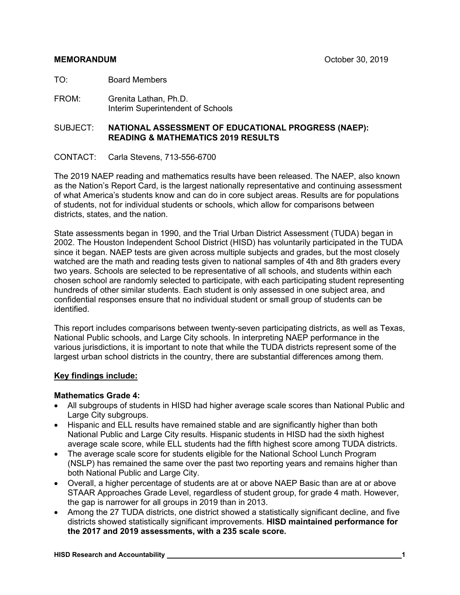TO: Board Members

FROM: Grenita Lathan, Ph.D. Interim Superintendent of Schools

### SUBJECT: **NATIONAL ASSESSMENT OF EDUCATIONAL PROGRESS (NAEP): READING & MATHEMATICS 2019 RESULTS**

CONTACT: Carla Stevens, 713-556-6700

The 2019 NAEP reading and mathematics results have been released. The NAEP, also known as the Nation's Report Card, is the largest nationally representative and continuing assessment of what America's students know and can do in core subject areas. Results are for populations of students, not for individual students or schools, which allow for comparisons between districts, states, and the nation.

State assessments began in 1990, and the Trial Urban District Assessment (TUDA) began in 2002. The Houston Independent School District (HISD) has voluntarily participated in the TUDA since it began. NAEP tests are given across multiple subjects and grades, but the most closely watched are the math and reading tests given to national samples of 4th and 8th graders every two years. Schools are selected to be representative of all schools, and students within each chosen school are randomly selected to participate, with each participating student representing hundreds of other similar students. Each student is only assessed in one subject area, and confidential responses ensure that no individual student or small group of students can be identified.

This report includes comparisons between twenty-seven participating districts, as well as Texas, National Public schools, and Large City schools. In interpreting NAEP performance in the various jurisdictions, it is important to note that while the TUDA districts represent some of the largest urban school districts in the country, there are substantial differences among them.

# **Key findings include:**

# **Mathematics Grade 4:**

- All subgroups of students in HISD had higher average scale scores than National Public and Large City subgroups.
- Hispanic and ELL results have remained stable and are significantly higher than both National Public and Large City results. Hispanic students in HISD had the sixth highest average scale score, while ELL students had the fifth highest score among TUDA districts.
- The average scale score for students eligible for the National School Lunch Program (NSLP) has remained the same over the past two reporting years and remains higher than both National Public and Large City.
- Overall, a higher percentage of students are at or above NAEP Basic than are at or above STAAR Approaches Grade Level, regardless of student group, for grade 4 math. However, the gap is narrower for all groups in 2019 than in 2013.
- Among the 27 TUDA districts, one district showed a statistically significant decline, and five districts showed statistically significant improvements. **HISD maintained performance for the 2017 and 2019 assessments, with a 235 scale score.**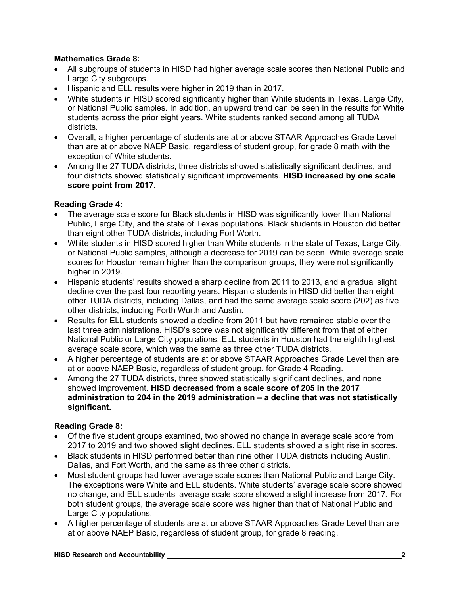# **Mathematics Grade 8:**

- All subgroups of students in HISD had higher average scale scores than National Public and Large City subgroups.
- Hispanic and ELL results were higher in 2019 than in 2017.
- White students in HISD scored significantly higher than White students in Texas, Large City, or National Public samples. In addition, an upward trend can be seen in the results for White students across the prior eight years. White students ranked second among all TUDA districts.
- Overall, a higher percentage of students are at or above STAAR Approaches Grade Level than are at or above NAEP Basic, regardless of student group, for grade 8 math with the exception of White students.
- Among the 27 TUDA districts, three districts showed statistically significant declines, and four districts showed statistically significant improvements. **HISD increased by one scale score point from 2017.**

# **Reading Grade 4:**

- The average scale score for Black students in HISD was significantly lower than National Public, Large City, and the state of Texas populations. Black students in Houston did better than eight other TUDA districts, including Fort Worth.
- White students in HISD scored higher than White students in the state of Texas, Large City, or National Public samples, although a decrease for 2019 can be seen. While average scale scores for Houston remain higher than the comparison groups, they were not significantly higher in 2019.
- Hispanic students' results showed a sharp decline from 2011 to 2013, and a gradual slight decline over the past four reporting years. Hispanic students in HISD did better than eight other TUDA districts, including Dallas, and had the same average scale score (202) as five other districts, including Forth Worth and Austin.
- Results for ELL students showed a decline from 2011 but have remained stable over the last three administrations. HISD's score was not significantly different from that of either National Public or Large City populations. ELL students in Houston had the eighth highest average scale score, which was the same as three other TUDA districts.
- A higher percentage of students are at or above STAAR Approaches Grade Level than are at or above NAEP Basic, regardless of student group, for Grade 4 Reading.
- Among the 27 TUDA districts, three showed statistically significant declines, and none showed improvement. **HISD decreased from a scale score of 205 in the 2017 administration to 204 in the 2019 administration – a decline that was not statistically significant.**

# **Reading Grade 8:**

- Of the five student groups examined, two showed no change in average scale score from 2017 to 2019 and two showed slight declines. ELL students showed a slight rise in scores.
- Black students in HISD performed better than nine other TUDA districts including Austin, Dallas, and Fort Worth, and the same as three other districts.
- Most student groups had lower average scale scores than National Public and Large City. The exceptions were White and ELL students. White students' average scale score showed no change, and ELL students' average scale score showed a slight increase from 2017. For both student groups, the average scale score was higher than that of National Public and Large City populations.
- A higher percentage of students are at or above STAAR Approaches Grade Level than are at or above NAEP Basic, regardless of student group, for grade 8 reading.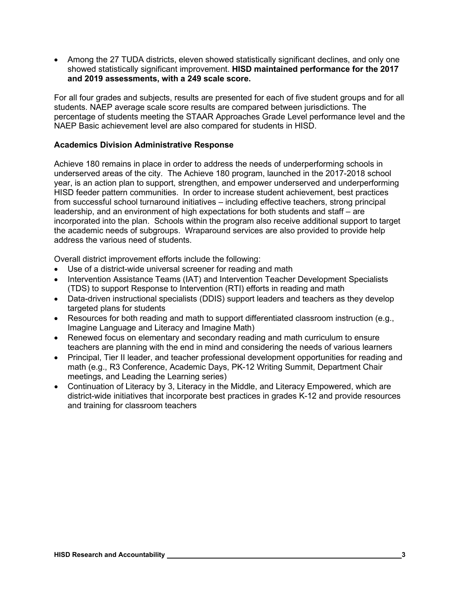• Among the 27 TUDA districts, eleven showed statistically significant declines, and only one showed statistically significant improvement. **HISD maintained performance for the 2017 and 2019 assessments, with a 249 scale score.**

For all four grades and subjects, results are presented for each of five student groups and for all students. NAEP average scale score results are compared between jurisdictions. The percentage of students meeting the STAAR Approaches Grade Level performance level and the NAEP Basic achievement level are also compared for students in HISD.

# **Academics Division Administrative Response**

Achieve 180 remains in place in order to address the needs of underperforming schools in underserved areas of the city. The Achieve 180 program, launched in the 2017-2018 school year, is an action plan to support, strengthen, and empower underserved and underperforming HISD feeder pattern communities. In order to increase student achievement, best practices from successful school turnaround initiatives – including effective teachers, strong principal leadership, and an environment of high expectations for both students and staff – are incorporated into the plan. Schools within the program also receive additional support to target the academic needs of subgroups. Wraparound services are also provided to provide help address the various need of students.

Overall district improvement efforts include the following:

- Use of a district-wide universal screener for reading and math
- Intervention Assistance Teams (IAT) and Intervention Teacher Development Specialists (TDS) to support Response to Intervention (RTI) efforts in reading and math
- Data-driven instructional specialists (DDIS) support leaders and teachers as they develop targeted plans for students
- Resources for both reading and math to support differentiated classroom instruction (e.g., Imagine Language and Literacy and Imagine Math)
- Renewed focus on elementary and secondary reading and math curriculum to ensure teachers are planning with the end in mind and considering the needs of various learners
- Principal, Tier II leader, and teacher professional development opportunities for reading and math (e.g., R3 Conference, Academic Days, PK-12 Writing Summit, Department Chair meetings, and Leading the Learning series)
- Continuation of Literacy by 3, Literacy in the Middle, and Literacy Empowered, which are district-wide initiatives that incorporate best practices in grades K-12 and provide resources and training for classroom teachers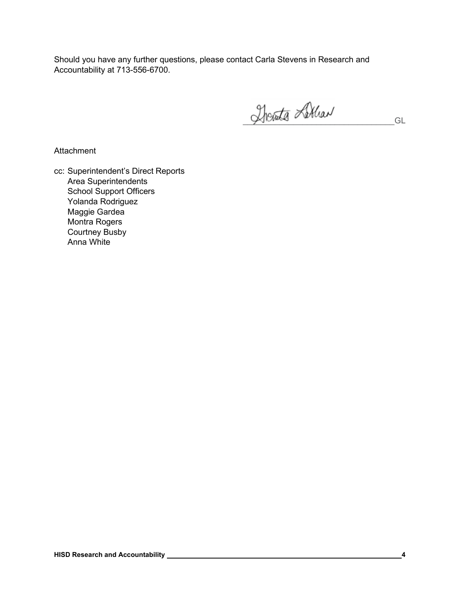Should you have any further questions, please contact Carla Stevens in Research and Accountability at 713-556-6700.

Therate Latter a

**Attachment** 

cc: Superintendent's Direct Reports Area Superintendents School Support Officers Yolanda Rodriguez Maggie Gardea Montra Rogers Courtney Busby Anna White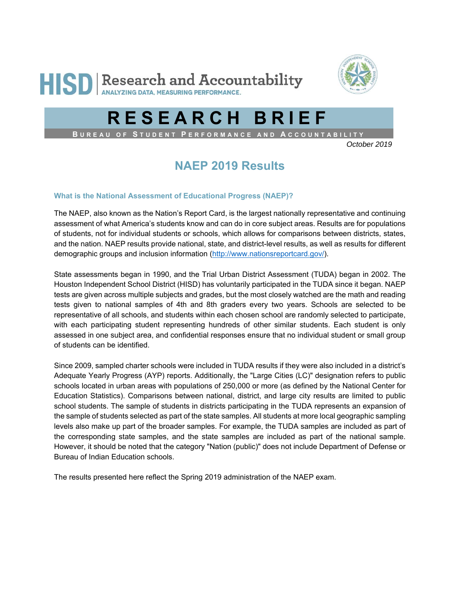



# **RESEARCH BRIEF**

**B UREAU OF S TUDENT P ERFORMANCE AND A CCOUNTABILITY**

*October 2019*

# **NAEP 2019 Results**

#### **What is the National Assessment of Educational Progress (NAEP)?**

The NAEP, also known as the Nation's Report Card, is the largest nationally representative and continuing assessment of what America's students know and can do in core subject areas. Results are for populations of students, not for individual students or schools, which allows for comparisons between districts, states, and the nation. NAEP results provide national, state, and district-level results, as well as results for different demographic groups and inclusion information (http://www.nationsreportcard.gov/).

State assessments began in 1990, and the Trial Urban District Assessment (TUDA) began in 2002. The Houston Independent School District (HISD) has voluntarily participated in the TUDA since it began. NAEP tests are given across multiple subjects and grades, but the most closely watched are the math and reading tests given to national samples of 4th and 8th graders every two years. Schools are selected to be representative of all schools, and students within each chosen school are randomly selected to participate, with each participating student representing hundreds of other similar students. Each student is only assessed in one subject area, and confidential responses ensure that no individual student or small group of students can be identified.

Since 2009, sampled charter schools were included in TUDA results if they were also included in a district's Adequate Yearly Progress (AYP) reports. Additionally, the "Large Cities (LC)" designation refers to public schools located in urban areas with populations of 250,000 or more (as defined by the National Center for Education Statistics). Comparisons between national, district, and large city results are limited to public school students. The sample of students in districts participating in the TUDA represents an expansion of the sample of students selected as part of the state samples. All students at more local geographic sampling levels also make up part of the broader samples. For example, the TUDA samples are included as part of the corresponding state samples, and the state samples are included as part of the national sample. However, it should be noted that the category "Nation (public)" does not include Department of Defense or Bureau of Indian Education schools.

The results presented here reflect the Spring 2019 administration of the NAEP exam.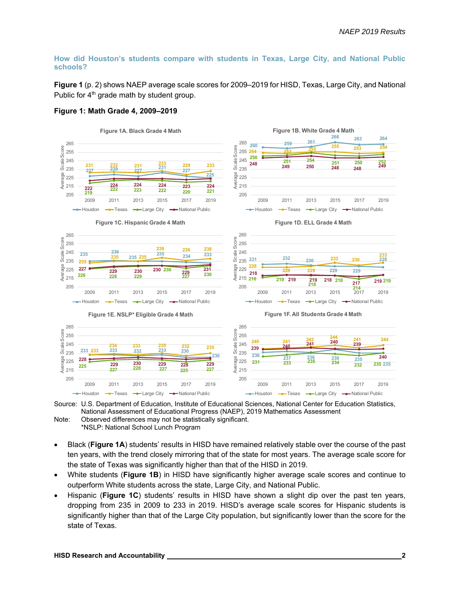#### **How did Houston's students compare with students in Texas, Large City, and National Public schools?**

**Figure 1** (p. 2) shows NAEP average scale scores for 2009–2019 for HISD, Texas, Large City, and National Public for  $4<sup>th</sup>$  grade math by student group.



#### **Figure 1: Math Grade 4, 2009–2019**



\*NSLP: National School Lunch Program

- Black (**Figure 1A**) students' results in HISD have remained relatively stable over the course of the past ten years, with the trend closely mirroring that of the state for most years. The average scale score for the state of Texas was significantly higher than that of the HISD in 2019.
- White students (**Figure 1B**) in HISD have significantly higher average scale scores and continue to outperform White students across the state, Large City, and National Public.
- Hispanic (**Figure 1C**) students' results in HISD have shown a slight dip over the past ten years, dropping from 235 in 2009 to 233 in 2019. HISD's average scale scores for Hispanic students is significantly higher than that of the Large City population, but significantly lower than the score for the state of Texas.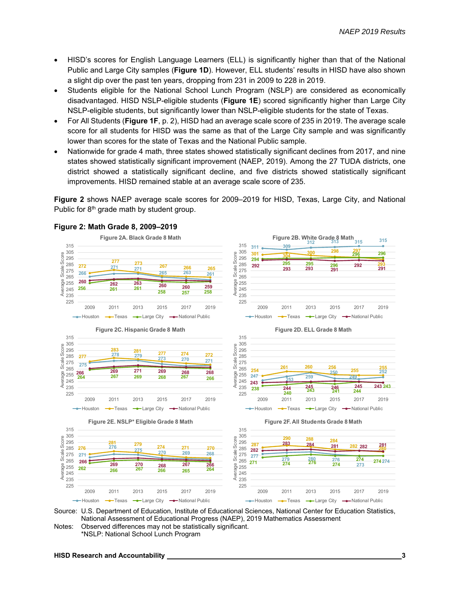- HISD's scores for English Language Learners (ELL) is significantly higher than that of the National Public and Large City samples (**Figure 1D**). However, ELL students' results in HISD have also shown a slight dip over the past ten years, dropping from 231 in 2009 to 228 in 2019.
- Students eligible for the National School Lunch Program (NSLP) are considered as economically disadvantaged. HISD NSLP-eligible students (**Figure 1E**) scored significantly higher than Large City NSLP-eligible students, but significantly lower than NSLP-eligible students for the state of Texas.
- For All Students (**Figure 1F**, p. 2), HISD had an average scale score of 235 in 2019. The average scale score for all students for HISD was the same as that of the Large City sample and was significantly lower than scores for the state of Texas and the National Public sample.
- Nationwide for grade 4 math, three states showed statistically significant declines from 2017, and nine states showed statistically significant improvement (NAEP, 2019). Among the 27 TUDA districts, one district showed a statistically significant decline, and five districts showed statistically significant improvements. HISD remained stable at an average scale score of 235.

**Figure 2** shows NAEP average scale scores for 2009–2019 for HISD, Texas, Large City, and National Public for  $8<sup>th</sup>$  grade math by student group.



**Figure 2: Math Grade 8, 2009–2019** 

Source: U.S. Department of Education, Institute of Educational Sciences, National Center for Education Statistics, National Assessment of Educational Progress (NAEP), 2019 Mathematics Assessment Notes: Observed differences may not be statistically significant.

<sup>\*</sup>NSLP: National School Lunch Program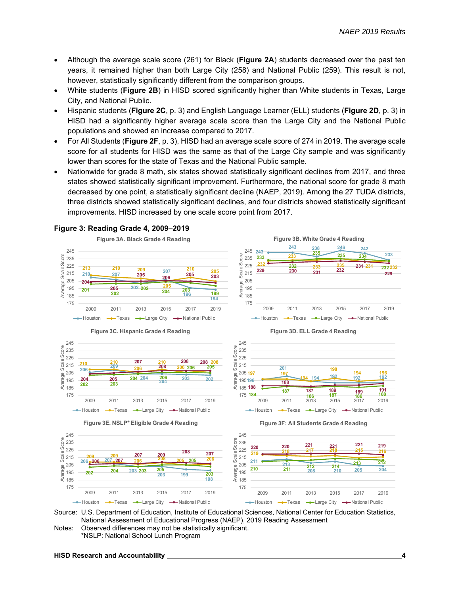- Although the average scale score (261) for Black (**Figure 2A**) students decreased over the past ten years, it remained higher than both Large City (258) and National Public (259). This result is not, however, statistically significantly different from the comparison groups.
- White students (**Figure 2B**) in HISD scored significantly higher than White students in Texas, Large City, and National Public.
- Hispanic students (**Figure 2C**, p. 3) and English Language Learner (ELL) students (**Figure 2D**, p. 3) in HISD had a significantly higher average scale score than the Large City and the National Public populations and showed an increase compared to 2017.
- For All Students (**Figure 2F**, p. 3), HISD had an average scale score of 274 in 2019. The average scale score for all students for HISD was the same as that of the Large City sample and was significantly lower than scores for the state of Texas and the National Public sample.
- Nationwide for grade 8 math, six states showed statistically significant declines from 2017, and three states showed statistically significant improvement. Furthermore, the national score for grade 8 math decreased by one point, a statistically significant decline (NAEP, 2019). Among the 27 TUDA districts, three districts showed statistically significant declines, and four districts showed statistically significant improvements. HISD increased by one scale score point from 2017.



#### **Figure 3: Reading Grade 4, 2009–2019**

Source: U.S. Department of Education, Institute of Educational Sciences, National Center for Education Statistics, National Assessment of Educational Progress (NAEP), 2019 Reading Assessment Notes: Observed differences may not be statistically significant.

\*NSLP: National School Lunch Program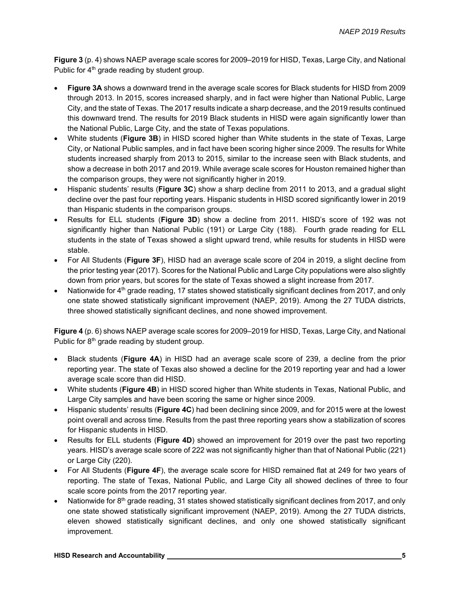**Figure 3** (p. 4) shows NAEP average scale scores for 2009–2019 for HISD, Texas, Large City, and National Public for 4<sup>th</sup> grade reading by student group.

- **Figure 3A** shows a downward trend in the average scale scores for Black students for HISD from 2009 through 2013. In 2015, scores increased sharply, and in fact were higher than National Public, Large City, and the state of Texas. The 2017 results indicate a sharp decrease, and the 2019 results continued this downward trend. The results for 2019 Black students in HISD were again significantly lower than the National Public, Large City, and the state of Texas populations.
- White students (**Figure 3B**) in HISD scored higher than White students in the state of Texas, Large City, or National Public samples, and in fact have been scoring higher since 2009. The results for White students increased sharply from 2013 to 2015, similar to the increase seen with Black students, and show a decrease in both 2017 and 2019. While average scale scores for Houston remained higher than the comparison groups, they were not significantly higher in 2019.
- Hispanic students' results (**Figure 3C**) show a sharp decline from 2011 to 2013, and a gradual slight decline over the past four reporting years. Hispanic students in HISD scored significantly lower in 2019 than Hispanic students in the comparison groups.
- Results for ELL students (**Figure 3D**) show a decline from 2011. HISD's score of 192 was not significantly higher than National Public (191) or Large City (188). Fourth grade reading for ELL students in the state of Texas showed a slight upward trend, while results for students in HISD were stable.
- For All Students (**Figure 3F**), HISD had an average scale score of 204 in 2019, a slight decline from the prior testing year (2017). Scores for the National Public and Large City populations were also slightly down from prior years, but scores for the state of Texas showed a slight increase from 2017.
- Nationwide for  $4<sup>th</sup>$  grade reading, 17 states showed statistically significant declines from 2017, and only one state showed statistically significant improvement (NAEP, 2019). Among the 27 TUDA districts, three showed statistically significant declines, and none showed improvement.

**Figure 4** (p. 6) shows NAEP average scale scores for 2009–2019 for HISD, Texas, Large City, and National Public for 8<sup>th</sup> grade reading by student group.

- Black students (**Figure 4A**) in HISD had an average scale score of 239, a decline from the prior reporting year. The state of Texas also showed a decline for the 2019 reporting year and had a lower average scale score than did HISD.
- White students (**Figure 4B**) in HISD scored higher than White students in Texas, National Public, and Large City samples and have been scoring the same or higher since 2009.
- Hispanic students' results (**Figure 4C**) had been declining since 2009, and for 2015 were at the lowest point overall and across time. Results from the past three reporting years show a stabilization of scores for Hispanic students in HISD.
- Results for ELL students (**Figure 4D**) showed an improvement for 2019 over the past two reporting years. HISD's average scale score of 222 was not significantly higher than that of National Public (221) or Large City (220).
- For All Students (**Figure 4F**), the average scale score for HISD remained flat at 249 for two years of reporting. The state of Texas, National Public, and Large City all showed declines of three to four scale score points from the 2017 reporting year.
- Nationwide for 8<sup>th</sup> grade reading, 31 states showed statistically significant declines from 2017, and only one state showed statistically significant improvement (NAEP, 2019). Among the 27 TUDA districts, eleven showed statistically significant declines, and only one showed statistically significant improvement.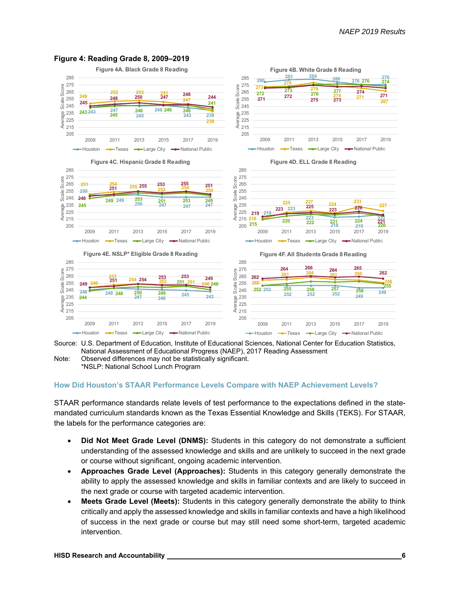

#### **Figure 4: Reading Grade 8, 2009–2019**

Source: U.S. Department of Education, Institute of Educational Sciences, National Center for Education Statistics, National Assessment of Educational Progress (NAEP), 2017 Reading Assessment Note: Observed differences may not be statistically significant.

\*NSLP: National School Lunch Program

#### **How Did Houston's STAAR Performance Levels Compare with NAEP Achievement Levels?**

STAAR performance standards relate levels of test performance to the expectations defined in the statemandated curriculum standards known as the Texas Essential Knowledge and Skills (TEKS). For STAAR, the labels for the performance categories are:

- **Did Not Meet Grade Level (DNMS):** Students in this category do not demonstrate a sufficient understanding of the assessed knowledge and skills and are unlikely to succeed in the next grade or course without significant, ongoing academic intervention.
- **Approaches Grade Level (Approaches):** Students in this category generally demonstrate the ability to apply the assessed knowledge and skills in familiar contexts and are likely to succeed in the next grade or course with targeted academic intervention.
- **Meets Grade Level (Meets):** Students in this category generally demonstrate the ability to think critically and apply the assessed knowledge and skills in familiar contexts and have a high likelihood of success in the next grade or course but may still need some short-term, targeted academic intervention.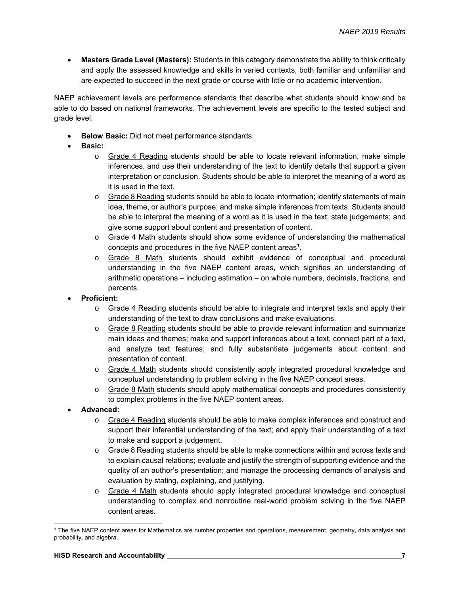**Masters Grade Level (Masters):** Students in this category demonstrate the ability to think critically and apply the assessed knowledge and skills in varied contexts, both familiar and unfamiliar and are expected to succeed in the next grade or course with little or no academic intervention.

NAEP achievement levels are performance standards that describe what students should know and be able to do based on national frameworks. The achievement levels are specific to the tested subject and grade level:

- **Below Basic:** Did not meet performance standards.
- **Basic:**
	- o Grade 4 Reading students should be able to locate relevant information, make simple inferences, and use their understanding of the text to identify details that support a given interpretation or conclusion. Students should be able to interpret the meaning of a word as it is used in the text.
	- $\circ$  Grade 8 Reading students should be able to locate information; identify statements of main idea, theme, or author's purpose; and make simple inferences from texts. Students should be able to interpret the meaning of a word as it is used in the text; state judgements; and give some support about content and presentation of content.
	- o Grade 4 Math students should show some evidence of understanding the mathematical concepts and procedures in the five NAEP content areas<sup>1</sup>.
	- o Grade 8 Math students should exhibit evidence of conceptual and procedural understanding in the five NAEP content areas, which signifies an understanding of arithmetic operations – including estimation – on whole numbers, decimals, fractions, and percents.
- **Proficient:**
	- o Grade 4 Reading students should be able to integrate and interpret texts and apply their understanding of the text to draw conclusions and make evaluations.
	- o Grade 8 Reading students should be able to provide relevant information and summarize main ideas and themes; make and support inferences about a text, connect part of a text, and analyze text features; and fully substantiate judgements about content and presentation of content.
	- o Grade 4 Math students should consistently apply integrated procedural knowledge and conceptual understanding to problem solving in the five NAEP concept areas.
	- $\circ$  Grade 8 Math students should apply mathematical concepts and procedures consistently to complex problems in the five NAEP content areas.
- **Advanced:**
	- o Grade 4 Reading students should be able to make complex inferences and construct and support their inferential understanding of the text; and apply their understanding of a text to make and support a judgement.
	- o Grade 8 Reading students should be able to make connections within and across texts and to explain causal relations; evaluate and justify the strength of supporting evidence and the quality of an author's presentation; and manage the processing demands of analysis and evaluation by stating, explaining, and justifying.
	- o Grade 4 Math students should apply integrated procedural knowledge and conceptual understanding to complex and nonroutine real-world problem solving in the five NAEP content areas.

<sup>1</sup> The five NAEP content areas for Mathematics are number properties and operations, measurement, geometry, data analysis and probability, and algebra.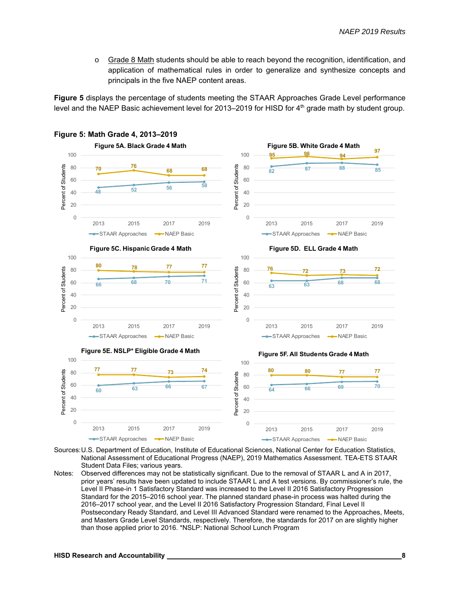o Grade 8 Math students should be able to reach beyond the recognition, identification, and application of mathematical rules in order to generalize and synthesize concepts and principals in the five NAEP content areas.

**Figure 5** displays the percentage of students meeting the STAAR Approaches Grade Level performance level and the NAEP Basic achievement level for 2013–2019 for HISD for 4<sup>th</sup> grade math by student group.



**Figure 5: Math Grade 4, 2013–2019** 

Sources: U.S. Department of Education, Institute of Educational Sciences, National Center for Education Statistics, National Assessment of Educational Progress (NAEP), 2019 Mathematics Assessment. TEA-ETS STAAR Student Data Files; various years.

Notes: Observed differences may not be statistically significant. Due to the removal of STAAR L and A in 2017, prior years' results have been updated to include STAAR L and A test versions. By commissioner's rule, the Level II Phase-in 1 Satisfactory Standard was increased to the Level II 2016 Satisfactory Progression Standard for the 2015–2016 school year. The planned standard phase-in process was halted during the 2016–2017 school year, and the Level II 2016 Satisfactory Progression Standard, Final Level II Postsecondary Ready Standard, and Level III Advanced Standard were renamed to the Approaches, Meets, and Masters Grade Level Standards, respectively. Therefore, the standards for 2017 on are slightly higher than those applied prior to 2016. \*NSLP: National School Lunch Program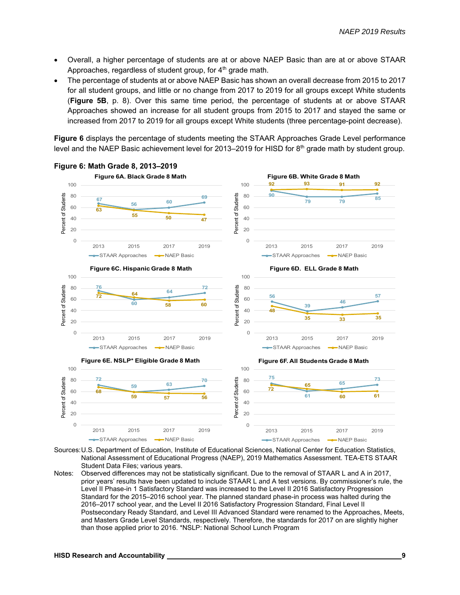- Overall, a higher percentage of students are at or above NAEP Basic than are at or above STAAR Approaches, regardless of student group, for  $4<sup>th</sup>$  grade math.
- The percentage of students at or above NAEP Basic has shown an overall decrease from 2015 to 2017 for all student groups, and little or no change from 2017 to 2019 for all groups except White students (**Figure 5B**, p. 8). Over this same time period, the percentage of students at or above STAAR Approaches showed an increase for all student groups from 2015 to 2017 and stayed the same or increased from 2017 to 2019 for all groups except White students (three percentage-point decrease).

**Figure 6** displays the percentage of students meeting the STAAR Approaches Grade Level performance level and the NAEP Basic achievement level for 2013–2019 for HISD for  $8<sup>th</sup>$  grade math by student group.



# **Figure 6: Math Grade 8, 2013–2019**

Sources: U.S. Department of Education, Institute of Educational Sciences, National Center for Education Statistics, National Assessment of Educational Progress (NAEP), 2019 Mathematics Assessment. TEA-ETS STAAR Student Data Files; various years.

Notes: Observed differences may not be statistically significant. Due to the removal of STAAR L and A in 2017, prior years' results have been updated to include STAAR L and A test versions. By commissioner's rule, the Level II Phase-in 1 Satisfactory Standard was increased to the Level II 2016 Satisfactory Progression Standard for the 2015–2016 school year. The planned standard phase-in process was halted during the 2016–2017 school year, and the Level II 2016 Satisfactory Progression Standard, Final Level II Postsecondary Ready Standard, and Level III Advanced Standard were renamed to the Approaches, Meets, and Masters Grade Level Standards, respectively. Therefore, the standards for 2017 on are slightly higher than those applied prior to 2016. \*NSLP: National School Lunch Program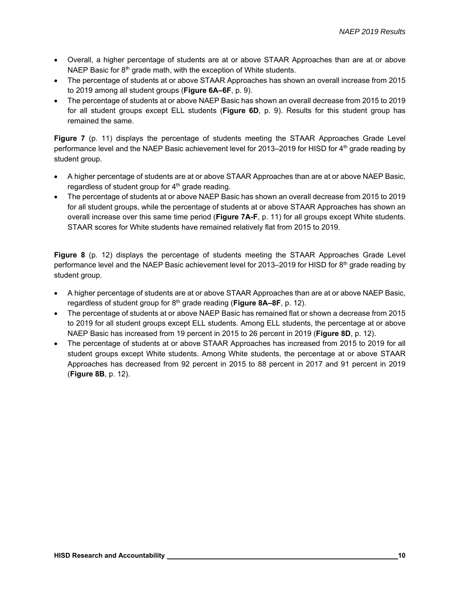- Overall, a higher percentage of students are at or above STAAR Approaches than are at or above NAEP Basic for 8<sup>th</sup> grade math, with the exception of White students.
- The percentage of students at or above STAAR Approaches has shown an overall increase from 2015 to 2019 among all student groups (**Figure 6A–6F**, p. 9).
- The percentage of students at or above NAEP Basic has shown an overall decrease from 2015 to 2019 for all student groups except ELL students (**Figure 6D**, p. 9). Results for this student group has remained the same.

**Figure 7** (p. 11) displays the percentage of students meeting the STAAR Approaches Grade Level performance level and the NAEP Basic achievement level for 2013–2019 for HISD for 4<sup>th</sup> grade reading by student group.

- A higher percentage of students are at or above STAAR Approaches than are at or above NAEP Basic, regardless of student group for  $4<sup>th</sup>$  grade reading.
- The percentage of students at or above NAEP Basic has shown an overall decrease from 2015 to 2019 for all student groups, while the percentage of students at or above STAAR Approaches has shown an overall increase over this same time period (**Figure 7A-F**, p. 11) for all groups except White students. STAAR scores for White students have remained relatively flat from 2015 to 2019.

**Figure 8** (p. 12) displays the percentage of students meeting the STAAR Approaches Grade Level performance level and the NAEP Basic achievement level for 2013–2019 for HISD for 8<sup>th</sup> grade reading by student group.

- A higher percentage of students are at or above STAAR Approaches than are at or above NAEP Basic, regardless of student group for 8<sup>th</sup> grade reading (**Figure 8A–8F**, p. 12).
- The percentage of students at or above NAEP Basic has remained flat or shown a decrease from 2015 to 2019 for all student groups except ELL students. Among ELL students, the percentage at or above NAEP Basic has increased from 19 percent in 2015 to 26 percent in 2019 (**Figure 8D**, p. 12).
- The percentage of students at or above STAAR Approaches has increased from 2015 to 2019 for all student groups except White students. Among White students, the percentage at or above STAAR Approaches has decreased from 92 percent in 2015 to 88 percent in 2017 and 91 percent in 2019 (**Figure 8B**, p. 12).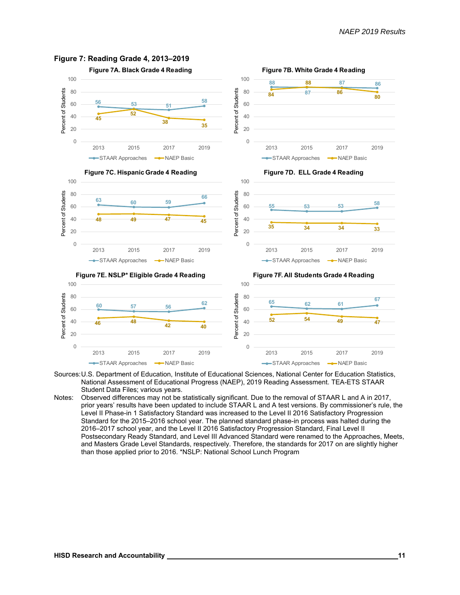

#### **Figure 7: Reading Grade 4, 2013–2019**

Sources: U.S. Department of Education, Institute of Educational Sciences, National Center for Education Statistics, National Assessment of Educational Progress (NAEP), 2019 Reading Assessment. TEA-ETS STAAR Student Data Files; various years.

Notes: Observed differences may not be statistically significant. Due to the removal of STAAR L and A in 2017, prior years' results have been updated to include STAAR L and A test versions. By commissioner's rule, the Level II Phase-in 1 Satisfactory Standard was increased to the Level II 2016 Satisfactory Progression Standard for the 2015–2016 school year. The planned standard phase-in process was halted during the 2016–2017 school year, and the Level II 2016 Satisfactory Progression Standard, Final Level II Postsecondary Ready Standard, and Level III Advanced Standard were renamed to the Approaches, Meets, and Masters Grade Level Standards, respectively. Therefore, the standards for 2017 on are slightly higher than those applied prior to 2016. \*NSLP: National School Lunch Program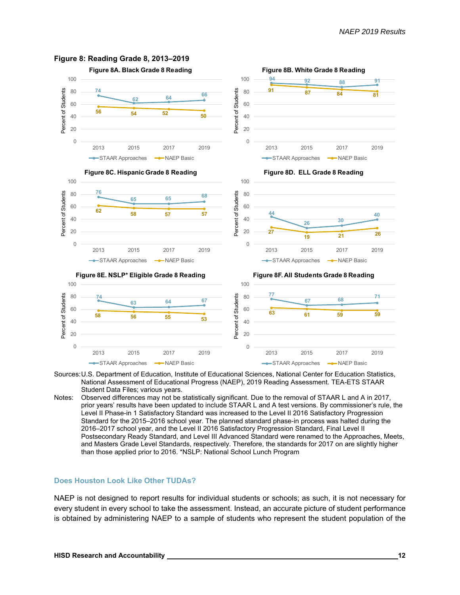

#### **Figure 8: Reading Grade 8, 2013–2019**

Sources: U.S. Department of Education, Institute of Educational Sciences, National Center for Education Statistics, National Assessment of Educational Progress (NAEP), 2019 Reading Assessment. TEA-ETS STAAR Student Data Files; various years.

Notes: Observed differences may not be statistically significant. Due to the removal of STAAR L and A in 2017, prior years' results have been updated to include STAAR L and A test versions. By commissioner's rule, the Level II Phase-in 1 Satisfactory Standard was increased to the Level II 2016 Satisfactory Progression Standard for the 2015–2016 school year. The planned standard phase-in process was halted during the 2016–2017 school year, and the Level II 2016 Satisfactory Progression Standard, Final Level II Postsecondary Ready Standard, and Level III Advanced Standard were renamed to the Approaches, Meets, and Masters Grade Level Standards, respectively. Therefore, the standards for 2017 on are slightly higher than those applied prior to 2016. \*NSLP: National School Lunch Program

#### **Does Houston Look Like Other TUDAs?**

NAEP is not designed to report results for individual students or schools; as such, it is not necessary for every student in every school to take the assessment. Instead, an accurate picture of student performance is obtained by administering NAEP to a sample of students who represent the student population of the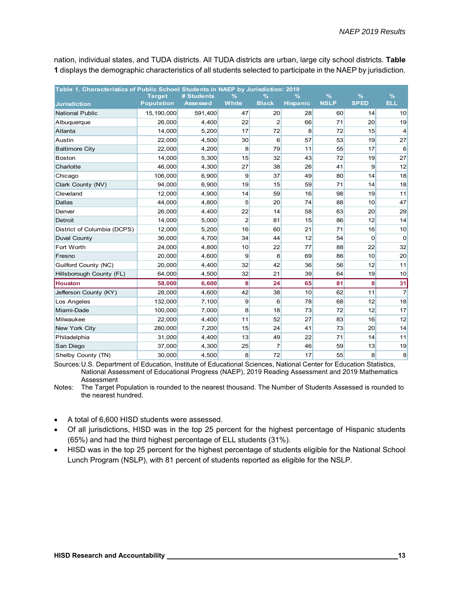nation, individual states, and TUDA districts. All TUDA districts are urban, large city school districts. **Table 1** displays the demographic characteristics of all students selected to participate in the NAEP by jurisdiction.

|                             | Table 1. Characteristics of Public School Students in NAEP by Jurisdiction: 2019 |            |                 |                |                 |               |                 |                |  |
|-----------------------------|----------------------------------------------------------------------------------|------------|-----------------|----------------|-----------------|---------------|-----------------|----------------|--|
|                             | <b>Target</b>                                                                    | # Students | ℅               | $\frac{9}{6}$  | ℅               | $\frac{9}{6}$ | %               | $\frac{9}{6}$  |  |
| <b>Jurisdiction</b>         | <b>Population</b>                                                                | Asse sse d | <b>White</b>    | <b>Black</b>   | <b>Hispanic</b> | <b>NSLP</b>   | <b>SPED</b>     | <b>ELL</b>     |  |
| <b>National Public</b>      | 15,190,000                                                                       | 591,400    | 47              | 20             | 28              | 60            | 14              | 10             |  |
| Albuquerque                 | 26,000                                                                           | 4.400      | 22              | $\overline{2}$ | 66              | 71            | 20              | 19             |  |
| Atlanta                     | 14.000                                                                           | 5,200      | 17              | 72             | 8               | 72            | 15              | $\overline{4}$ |  |
| Austin                      | 22,000                                                                           | 4,500      | 30 <sup>°</sup> | 6              | 57              | 53            | 19              | 27             |  |
| <b>Baltimore City</b>       | 22,000                                                                           | 4,200      | 8               | 79             | 11              | 55            | 17              | 6              |  |
| <b>Boston</b>               | 14,000                                                                           | 5,300      | 15              | 32             | 43              | 72            | 19              | 27             |  |
| Charlotte                   | 46.000                                                                           | 4,300      | 27              | 38             | 26              | 41            | $\overline{9}$  | 12             |  |
| Chicago                     | 106,000                                                                          | 6,900      | $\overline{9}$  | 37             | 49              | 80            | 14              | 18             |  |
| Clark County (NV)           | 94.000                                                                           | 6.900      | 19              | 15             | 59              | 71            | 14              | 18             |  |
| Cleveland                   | 12.000                                                                           | 4,900      | 14              | 59             | 16              | 98            | 19              | 11             |  |
| Dallas                      | 44,000                                                                           | 4,800      | 5               | 20             | 74              | 88            | 10              | 47             |  |
| Denver                      | 26,000                                                                           | 4,400      | 22              | 14             | 58              | 63            | 20              | 29             |  |
| Detroit                     | 14,000                                                                           | 5,000      | $\overline{2}$  | 81             | 15              | 86            | 12              | 14             |  |
| District of Columbia (DCPS) | 12,000                                                                           | 5,200      | 16              | 60             | 21              | 71            | 16              | 10             |  |
| <b>Duval County</b>         | 36,000                                                                           | 4,700      | 34              | 44             | 12              | 54            | $\overline{0}$  | $\mathbf 0$    |  |
| Fort Worth                  | 24,000                                                                           | 4,800      | 10              | 22             | 77              | 88            | 22              | 32             |  |
| Fresno                      | 20,000                                                                           | 4,600      | 9               | 8              | 69              | 86            | 10 <sup>1</sup> | 20             |  |
| Guilford County (NC)        | 20,000                                                                           | 4,400      | 32              | 42             | 36              | 56            | 12              | 11             |  |
| Hillsborough County (FL)    | 64,000                                                                           | 4,500      | 32              | 21             | 39              | 64            | 19              | 10             |  |
| <b>Houston</b>              | 58,000                                                                           | 6.600      | 8               | 24             | 65              | 81            | 8               | 31             |  |
| Jefferson County (KY)       | 28,000                                                                           | 4,600      | 42              | 38             | 10 <sup>1</sup> | 62            | 11              | $\overline{7}$ |  |
| Los Angeles                 | 132,000                                                                          | 7,100      | $\overline{9}$  | 6              | 78              | 68            | 12              | 18             |  |
| Miami-Dade                  | 100,000                                                                          | 7,000      | 8               | 18             | 73              | 72            | 12              | 17             |  |
| Milwaukee                   | 22,000                                                                           | 4,400      | 11              | 52             | 27              | 83            | 16              | 12             |  |
| New York City               | 280,000                                                                          | 7,200      | 15              | 24             | 41              | 73            | 20              | 14             |  |
| Philadelphia                | 31,000                                                                           | 4,400      | 13              | 49             | 22              | 71            | 14              | 11             |  |
| San Diego                   | 37,000                                                                           | 4,300      | 25              | $\overline{7}$ | 46              | 59            | 13              | 19             |  |
| Shelby County (TN)          | 30,000                                                                           | 4,500      | 8               | 72             | 17              | 55            | 8               | 8              |  |

Sources: U.S. Department of Education, Institute of Educational Sciences, National Center for Education Statistics, National Assessment of Educational Progress (NAEP), 2019 Reading Assessment and 2019 Mathematics Assessment

Notes: The Target Population is rounded to the nearest thousand. The Number of Students Assessed is rounded to the nearest hundred.

- A total of 6,600 HISD students were assessed.
- Of all jurisdictions, HISD was in the top 25 percent for the highest percentage of Hispanic students (65%) and had the third highest percentage of ELL students (31%).
- HISD was in the top 25 percent for the highest percentage of students eligible for the National School Lunch Program (NSLP), with 81 percent of students reported as eligible for the NSLP.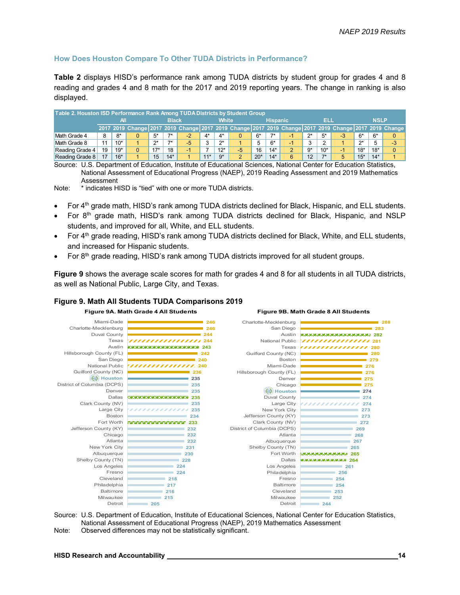#### **How Does Houston Compare To Other TUDA Districts in Performance?**

**Table 2** displays HISD's performance rank among TUDA districts by student group for grades 4 and 8 reading and grades 4 and 8 math for the 2017 and 2019 reporting years. The change in ranking is also displayed.

| Table 2. Houston ISD Performance Rank Among TUDA Districts by Student Group |     |       |  |              |                  |       |              |       |                        |       |       |             |      |       |       |       |                                                                                                       |
|-----------------------------------------------------------------------------|-----|-------|--|--------------|------------------|-------|--------------|-------|------------------------|-------|-------|-------------|------|-------|-------|-------|-------------------------------------------------------------------------------------------------------|
|                                                                             | All |       |  | <b>Black</b> |                  |       | <b>White</b> |       | <b>Hispanic</b><br>ELI |       |       | <b>NSLP</b> |      |       |       |       |                                                                                                       |
|                                                                             |     |       |  |              |                  |       |              |       |                        |       |       |             |      |       |       |       | 2017 2019 Change 2017 2019 Change 2017 2019 Change 2017 2019 Change 2017 2019 Change 2017 2019 Change |
| Math Grade 4                                                                | 8   | $8*$  |  | -5*          |                  | $-2$  | 4*           | $4^*$ |                        | 6*    |       | ۰.          |      | $5*$  | $6*$  | 6*    |                                                                                                       |
| Math Grade 8                                                                | 11  | $10*$ |  | つ*           | $\overline{7}$ * | $-57$ |              | $2^*$ |                        | г.    | 6*    | - 1         | ີ    |       | ŋ*    | 5     | $-3$                                                                                                  |
| Reading Grade 4                                                             | 19  | $19*$ |  | $17*$        | 18               | -1    |              | $12*$ | -5                     | 16    | $14*$ |             | $9*$ | $10*$ | $18*$ | 18*   | $\overline{0}$                                                                                        |
| Reading Grade 8                                                             |     | $16*$ |  | 15           | $14*$            |       | $11*$        | $9*$  |                        | $20*$ | $14*$ | 6           | 12   | $7*$  | $15*$ | $14*$ |                                                                                                       |

Source: U.S. Department of Education, Institute of Educational Sciences, National Center for Education Statistics, National Assessment of Educational Progress (NAEP), 2019 Reading Assessment and 2019 Mathematics Assessment

Note: \* indicates HISD is "tied" with one or more TUDA districts.

- For 4<sup>th</sup> grade math, HISD's rank among TUDA districts declined for Black, Hispanic, and ELL students.
- For 8<sup>th</sup> grade math, HISD's rank among TUDA districts declined for Black, Hispanic, and NSLP students, and improved for all, White, and ELL students.
- For 4<sup>th</sup> grade reading, HISD's rank among TUDA districts declined for Black, White, and ELL students, and increased for Hispanic students.
- For 8<sup>th</sup> grade reading, HISD's rank among TUDA districts improved for all student groups.

**Figure 9** shows the average scale scores for math for grades 4 and 8 for all students in all TUDA districts, as well as National Public, Large City, and Texas.

**Figure 9B. Math Grade 8 All Students**

#### **Figure 9. Math All Students TUDA Comparisons 2019**

#### **Figure 9A. Math Grade 4 All Students**

#### **205 215 216 217 218 224 224 228 230 231 232 232 232 233 234 235 235** Dallas **ceperare ereretereneren 235 235 235 235 236** National Public **1888812888828882888288 240 242** Austin **eterstererererererererererere 243 244 244 246 246** Detroit Milwaukee Baltimore Philadelphia Cleveland Fresno Los Angeles Shelby County (TN) Albuquerque New York City Atlanta Chicago Jefferson County (KY) Fort Worth Boston Large City Clark County (NV) Denver District of Columbia (DCPS) Houston Guilford County (NC) San Diego Hillsborough County (FL) Texas Duval County Charlotte-Mecklenburg Miami-Dade **Houston**<br> **Houston**<br> **Denver**<br> **Denver**<br> **Denver**<br> **Denver**<br> **Denver**<br> **Denver**<br> **Denver**<br> **Denver**<br> **Denver**<br> **Denver**<br> **Example 10**<br> **Example 10**<br> **Example 10**<br> **Example 10**<br> **Example 10**<br> **Example 10**<br> **PERP 10**<br> **EXAM 252 253 254 254 256 261 264 264 264 Fort Worth MARKARAMARAMAN 265 265 267 268 269 272 273 273 274 274 274 275 275 276 276 279 280** Texas *viirriririririri* 280 National Public **777777777777777** 281 Austin **BRANGER BRANGER BRAND 282 283 288** Detroit Milwaukee Cleveland Baltimore Fresno Philadelphia Los Angeles Dallas Shelby County (TN) Albuquerque Atlanta District of Columbia (DCPS) Clark County (NV) Jefferson County (KY) New York City Large City Duval County Houston **Houston** Chicago Denver Hillsborough County (FL) Miami-Dade Boston Guilford County (NC) San Diego Charlotte-Mecklenburg

Source: U.S. Department of Education, Institute of Educational Sciences, National Center for Education Statistics, National Assessment of Educational Progress (NAEP), 2019 Mathematics Assessment Note: Observed differences may not be statistically significant.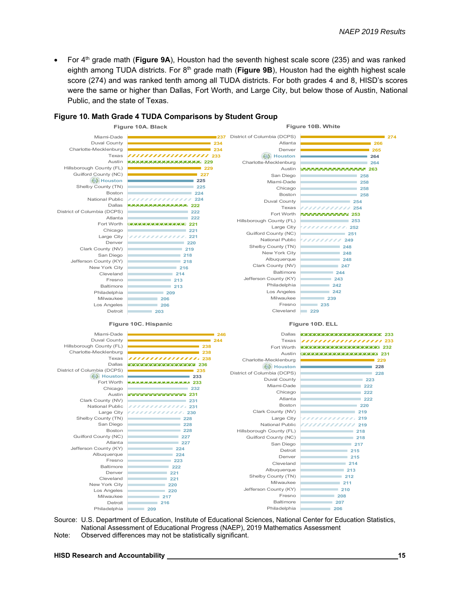• For 4<sup>th</sup> grade math (**Figure 9A**), Houston had the seventh highest scale score (235) and was ranked eighth among TUDA districts. For 8<sup>th</sup> grade math (Figure 9B), Houston had the eighth highest scale score (274) and was ranked tenth among all TUDA districts. For both grades 4 and 8, HISD's scores were the same or higher than Dallas, Fort Worth, and Large City, but below those of Austin, National Public, and the state of Texas.



#### **Figure 10. Math Grade 4 TUDA Comparisons by Student Group**

Source: U.S. Department of Education, Institute of Educational Sciences, National Center for Education Statistics, National Assessment of Educational Progress (NAEP), 2019 Mathematics Assessment Note: Observed differences may not be statistically significant.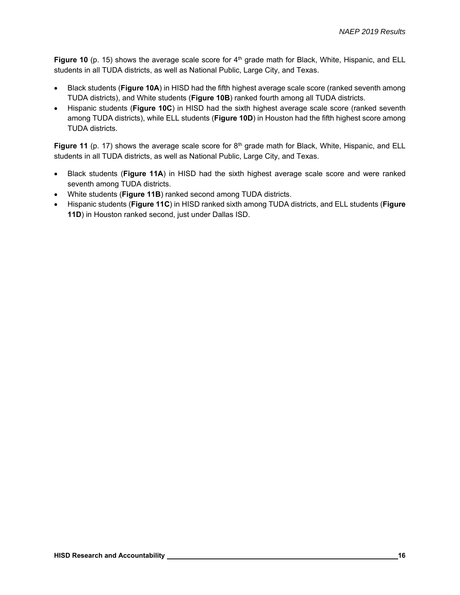**Figure 10** (p. 15) shows the average scale score for 4<sup>th</sup> grade math for Black, White, Hispanic, and ELL students in all TUDA districts, as well as National Public, Large City, and Texas.

- Black students (**Figure 10A**) in HISD had the fifth highest average scale score (ranked seventh among TUDA districts), and White students (**Figure 10B**) ranked fourth among all TUDA districts.
- Hispanic students (**Figure 10C**) in HISD had the sixth highest average scale score (ranked seventh among TUDA districts), while ELL students (**Figure 10D**) in Houston had the fifth highest score among TUDA districts.

**Figure 11** (p. 17) shows the average scale score for  $8<sup>th</sup>$  grade math for Black, White, Hispanic, and ELL students in all TUDA districts, as well as National Public, Large City, and Texas.

- Black students (**Figure 11A**) in HISD had the sixth highest average scale score and were ranked seventh among TUDA districts.
- White students (**Figure 11B**) ranked second among TUDA districts.
- Hispanic students (**Figure 11C**) in HISD ranked sixth among TUDA districts, and ELL students (**Figure 11D**) in Houston ranked second, just under Dallas ISD.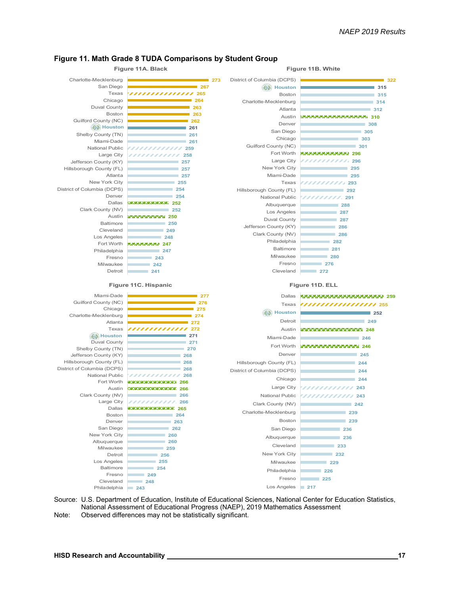



Source: U.S. Department of Education, Institute of Educational Sciences, National Center for Education Statistics, National Assessment of Educational Progress (NAEP), 2019 Mathematics Assessment

Note: Observed differences may not be statistically significant.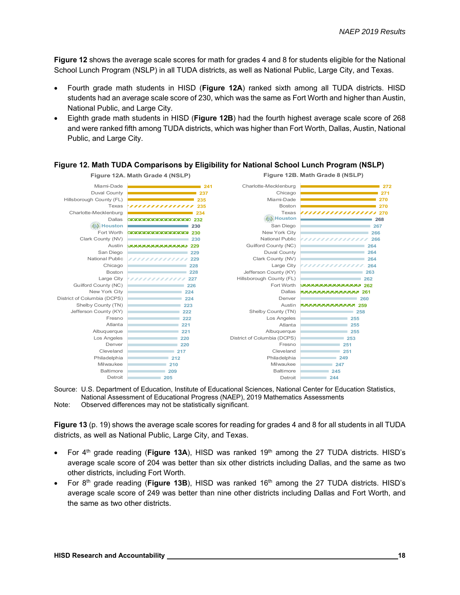**Figure 12** shows the average scale scores for math for grades 4 and 8 for students eligible for the National School Lunch Program (NSLP) in all TUDA districts, as well as National Public, Large City, and Texas.

- Fourth grade math students in HISD (**Figure 12A**) ranked sixth among all TUDA districts. HISD students had an average scale score of 230, which was the same as Fort Worth and higher than Austin, National Public, and Large City.
- Eighth grade math students in HISD (**Figure 12B**) had the fourth highest average scale score of 268 and were ranked fifth among TUDA districts, which was higher than Fort Worth, Dallas, Austin, National Public, and Large City.



#### **Figure 12. Math TUDA Comparisons by Eligibility for National School Lunch Program (NSLP)**

Source: U.S. Department of Education, Institute of Educational Sciences, National Center for Education Statistics, National Assessment of Educational Progress (NAEP), 2019 Mathematics Assessments Note: Observed differences may not be statistically significant.

**Figure 13** (p. 19) shows the average scale scores for reading for grades 4 and 8 for all students in all TUDA districts, as well as National Public, Large City, and Texas.

- For 4<sup>th</sup> grade reading (Figure 13A), HISD was ranked 19<sup>th</sup> among the 27 TUDA districts. HISD's average scale score of 204 was better than six other districts including Dallas, and the same as two other districts, including Fort Worth.
- For 8<sup>th</sup> grade reading (Figure 13B), HISD was ranked 16<sup>th</sup> among the 27 TUDA districts. HISD's average scale score of 249 was better than nine other districts including Dallas and Fort Worth, and the same as two other districts.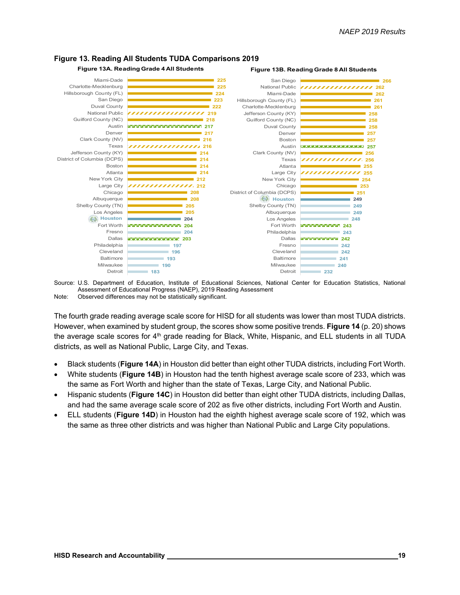

#### **Figure 13. Reading All Students TUDA Comparisons 2019**

Source: U.S. Department of Education, Institute of Educational Sciences, National Center for Education Statistics, National Assessment of Educational Progress (NAEP), 2019 Reading Assessment Note: Observed differences may not be statistically significant.

The fourth grade reading average scale score for HISD for all students was lower than most TUDA districts. However, when examined by student group, the scores show some positive trends. **Figure 14** (p. 20) shows the average scale scores for 4<sup>th</sup> grade reading for Black, White, Hispanic, and ELL students in all TUDA districts, as well as National Public, Large City, and Texas.

- Black students (**Figure 14A**) in Houston did better than eight other TUDA districts, including Fort Worth.
- White students (**Figure 14B**) in Houston had the tenth highest average scale score of 233, which was the same as Fort Worth and higher than the state of Texas, Large City, and National Public.
- Hispanic students (**Figure 14C**) in Houston did better than eight other TUDA districts, including Dallas, and had the same average scale score of 202 as five other districts, including Fort Worth and Austin.
- ELL students (**Figure 14D**) in Houston had the eighth highest average scale score of 192, which was the same as three other districts and was higher than National Public and Large City populations.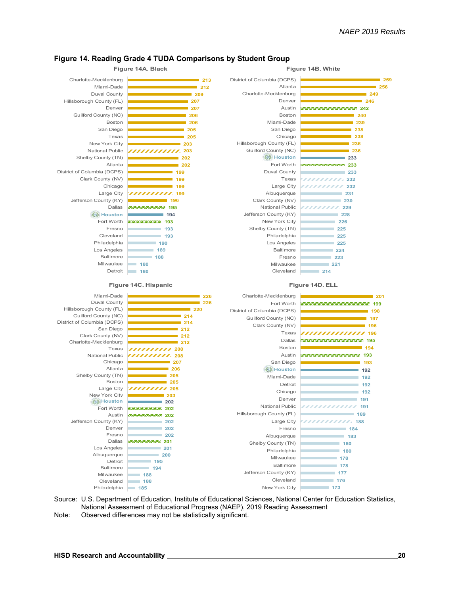

#### **Figure 14. Reading Grade 4 TUDA Comparisons by Student Group**

Source: U.S. Department of Education, Institute of Educational Sciences, National Center for Education Statistics, National Assessment of Educational Progress (NAEP), 2019 Reading Assessment

Note: Observed differences may not be statistically significant.

Philadelphia 185

**173**

New York City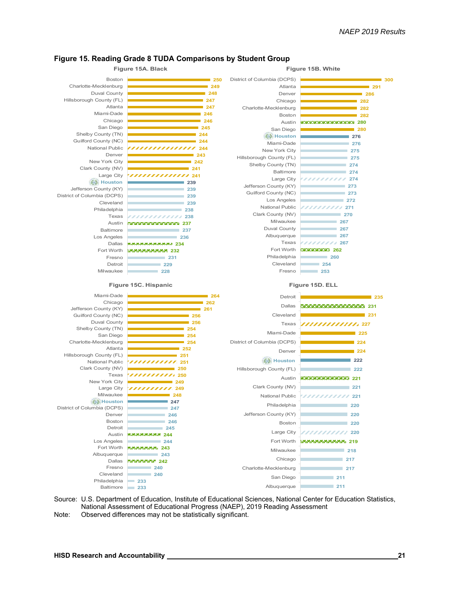

#### **Figure 15. Reading Grade 8 TUDA Comparisons by Student Group**

Source: U.S. Department of Education, Institute of Educational Sciences, National Center for Education Statistics, National Assessment of Educational Progress (NAEP), 2019 Reading Assessment

Note: Observed differences may not be statistically significant.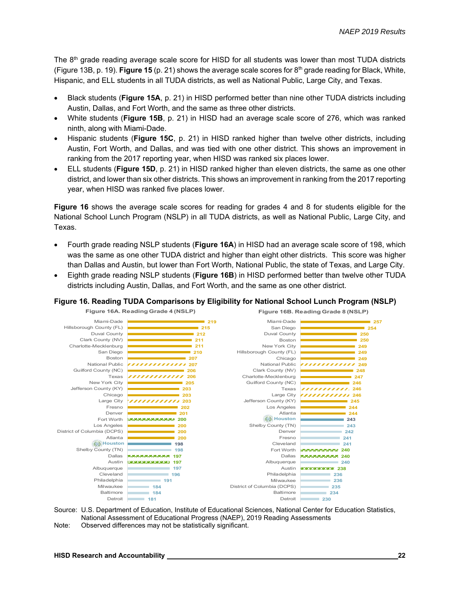The  $8<sup>th</sup>$  grade reading average scale score for HISD for all students was lower than most TUDA districts (Figure 13B, p. 19). **Figure 15** (p. 21) shows the average scale scores for 8th grade reading for Black, White, Hispanic, and ELL students in all TUDA districts, as well as National Public, Large City, and Texas.

- Black students (**Figure 15A**, p. 21) in HISD performed better than nine other TUDA districts including Austin, Dallas, and Fort Worth, and the same as three other districts.
- White students (**Figure 15B**, p. 21) in HISD had an average scale score of 276, which was ranked ninth, along with Miami-Dade.
- Hispanic students (**Figure 15C**, p. 21) in HISD ranked higher than twelve other districts, including Austin, Fort Worth, and Dallas, and was tied with one other district. This shows an improvement in ranking from the 2017 reporting year, when HISD was ranked six places lower.
- ELL students (**Figure 15D**, p. 21) in HISD ranked higher than eleven districts, the same as one other district, and lower than six other districts. This shows an improvement in ranking from the 2017 reporting year, when HISD was ranked five places lower.

**Figure 16** shows the average scale scores for reading for grades 4 and 8 for students eligible for the National School Lunch Program (NSLP) in all TUDA districts, as well as National Public, Large City, and Texas.

- Fourth grade reading NSLP students (**Figure 16A**) in HISD had an average scale score of 198, which was the same as one other TUDA district and higher than eight other districts. This score was higher than Dallas and Austin, but lower than Fort Worth, National Public, the state of Texas, and Large City.
- Eighth grade reading NSLP students (**Figure 16B**) in HISD performed better than twelve other TUDA districts including Austin, Dallas, and Fort Worth, and the same as one other district.

#### **Figure 16. Reading TUDA Comparisons by Eligibility for National School Lunch Program (NSLP)**



- Source: U.S. Department of Education, Institute of Educational Sciences, National Center for Education Statistics, National Assessment of Educational Progress (NAEP), 2019 Reading Assessments
- Note: Observed differences may not be statistically significant.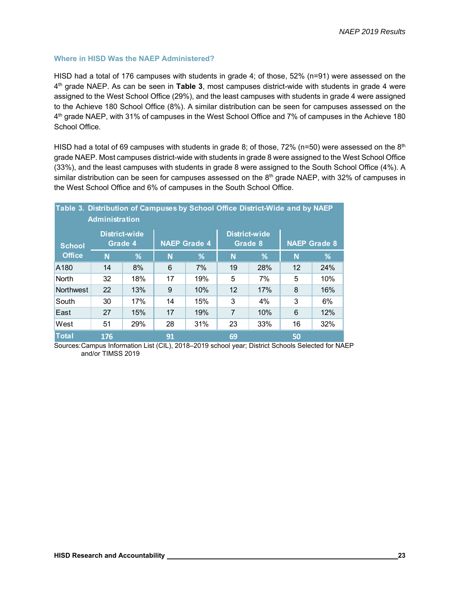#### **Where in HISD Was the NAEP Administered?**

HISD had a total of 176 campuses with students in grade 4; of those, 52% (n=91) were assessed on the 4th grade NAEP. As can be seen in **Table 3**, most campuses district-wide with students in grade 4 were assigned to the West School Office (29%), and the least campuses with students in grade 4 were assigned to the Achieve 180 School Office (8%). A similar distribution can be seen for campuses assessed on the 4<sup>th</sup> grade NAEP, with 31% of campuses in the West School Office and 7% of campuses in the Achieve 180 School Office.

HISD had a total of 69 campuses with students in grade 8; of those, 72% ( $n=50$ ) were assessed on the 8<sup>th</sup> grade NAEP. Most campuses district-wide with students in grade 8 were assigned to the West School Office (33%), and the least campuses with students in grade 8 were assigned to the South School Office (4%). A similar distribution can be seen for campuses assessed on the  $8<sup>th</sup>$  grade NAEP, with 32% of campuses in the West School Office and 6% of campuses in the South School Office.

| Table 3. Distribution of Campuses by School Office District-Wide and by NAEP<br><b>Administration</b> |     |                          |    |                     |    |                                 |    |                     |  |
|-------------------------------------------------------------------------------------------------------|-----|--------------------------|----|---------------------|----|---------------------------------|----|---------------------|--|
| <b>School</b>                                                                                         |     | District-wide<br>Grade 4 |    | <b>NAEP Grade 4</b> |    | <b>District-wide</b><br>Grade 8 |    | <b>NAEP Grade 8</b> |  |
| <b>Office</b>                                                                                         | N   | %                        | N  | ℅                   | N  | %                               | N  | %                   |  |
| A <sub>180</sub>                                                                                      | 14  | 8%                       | 6  | 7%                  | 19 | 28%                             | 12 | 24%                 |  |
| <b>North</b>                                                                                          | 32  | 18%                      | 17 | 19%                 | 5  | 7%                              | 5  | 10%                 |  |
| Northwest                                                                                             | 22  | 13%                      | 9  | 10%                 | 12 | 17%                             | 8  | 16%                 |  |
| South                                                                                                 | 30  | 17%                      | 14 | 15%                 | 3  | 4%                              | 3  | 6%                  |  |
| East                                                                                                  | 27  | 15%                      | 17 | 19%                 | 7  | 10%                             | 6  | 12%                 |  |
| West                                                                                                  | 51  | 29%                      | 28 | 31%                 | 23 | 33%                             | 16 | 32%                 |  |
| <b>Total</b>                                                                                          | 176 |                          | 91 |                     | 69 |                                 | 50 |                     |  |

Sources: Campus Information List (CIL), 2018–2019 school year; District Schools Selected for NAEP and/or TIMSS 2019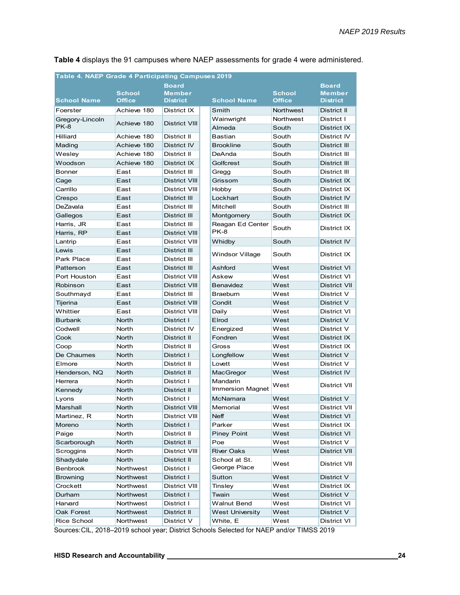| Table 4. NAEP Grade 4 Participating Campuses 2019 |                                |                                  |                         |                                |                                  |
|---------------------------------------------------|--------------------------------|----------------------------------|-------------------------|--------------------------------|----------------------------------|
|                                                   |                                | <b>Board</b>                     |                         |                                | <b>Board</b>                     |
| <b>School Name</b>                                | <b>School</b><br><b>Office</b> | <b>Member</b><br><b>District</b> | <b>School Name</b>      | <b>School</b><br><b>Office</b> | <b>Member</b><br><b>District</b> |
|                                                   |                                |                                  |                         |                                |                                  |
| Foerster                                          | Achieve 180                    | District IX                      | Smith                   | Northwest                      | District II                      |
| Gregory-Lincoln<br>PK-8                           | Achieve 180                    | District VIII                    | Wainwright              | Northwest                      | District I                       |
| Hilliard                                          | Achieve 180                    | District II                      | Almeda<br>Bastian       | South<br>South                 | District IX<br>District IV       |
| Mading                                            | Achieve 180                    | District IV                      | <b>Brookline</b>        | South                          | District III                     |
| Wesley                                            | Achieve 180                    | District II                      | DeAnda                  | South                          | District III                     |
| Woodson                                           | Achieve 180                    | District IX                      | Golfcrest               | South                          | District III                     |
| Bonner                                            | East                           | District III                     | Gregg                   | South                          | District III                     |
| Cage                                              | East                           | District VIII                    | Grissom                 | South                          | District IX                      |
| Carrillo                                          | East                           | District VIII                    | Hobby                   | South                          | District IX                      |
| Crespo                                            | East                           | District III                     | Lockhart                | South                          | District IV                      |
| DeZavala                                          | East                           | District III                     | Mitchell                | South                          | District III                     |
| Gallegos                                          | East                           | District III                     | Montgomery              | South                          | District IX                      |
| Harris, JR                                        | East                           | District III                     | Reagan Ed Center        |                                |                                  |
| Harris, RP                                        | East                           | <b>District VIII</b>             | PK-8                    | South                          | District IX                      |
| Lantrip                                           | East                           | District VIII                    | Whidby                  | South                          | District IV                      |
| Lewis                                             | East                           | District III                     |                         |                                |                                  |
| Park Place                                        | East                           | District III                     | Windsor Village         | South                          | District IX                      |
| Patterson                                         | East                           | District III                     | Ashford                 | West                           | District VI                      |
| Port Houston                                      | East                           | District VIII                    | Askew                   | West                           | District VI                      |
| Robinson                                          | East                           | District VIII                    | Benavidez               | West                           | District VII                     |
| Southmayd                                         | East                           | District III                     | <b>Braeburn</b>         | West                           | District V                       |
| Tijerina                                          | East                           | District VIII                    | Condit                  | West                           | District V                       |
| Whittier                                          | East                           | District VIII                    | Daily                   | West                           | District VI                      |
| <b>Burbank</b>                                    | North                          | District I                       | Elrod                   | West                           | District V                       |
| Codwell                                           | North                          | District IV                      | Energized               | West                           | District V                       |
| Cook                                              | North                          | District II                      | Fondren                 | West                           | District IX                      |
| Coop                                              | North                          | District II                      | Gross                   | West                           | District IX                      |
| De Chaumes                                        | North                          | District I                       | Longfellow              | West                           | District V                       |
| Elmore                                            | North                          | District II                      | Lovett                  | West                           | District V                       |
| Henderson, NQ                                     | North                          | District II                      | MacGregor               | West                           | District IV                      |
| Herrera                                           | North                          | District I                       | Mandarin                | West                           | District VII                     |
| Kennedy                                           | North                          | District II                      | <b>Immersion Magnet</b> |                                |                                  |
| Lyons                                             | North                          | District I                       | McNamara                | West                           | District V                       |
| Marshall                                          | North                          | <b>District VIII</b>             | Memorial                | West                           | District VII                     |
| Martinez, R                                       | North                          | District VIII                    | Neff                    | West                           | District VI                      |
| Moreno                                            | North                          | District I                       | Parker                  | West                           | District IX                      |
| Paige                                             | North                          | District II                      | <b>Piney Point</b>      | West                           | District VI                      |
| Scarborough                                       | North                          | District II                      | Poe                     | West                           | District V                       |
| Scroggins                                         | North                          | District VIII                    | <b>River Oaks</b>       | West                           | District VII                     |
| Shadydale                                         | North                          | District II                      | School at St.           | West                           | District VII                     |
| <b>Benbrook</b>                                   | Northwest                      | District I                       | George Place            |                                |                                  |
| <b>Browning</b>                                   | Northwest                      | District I                       | Sutton                  | West                           | District V                       |
| Crockett                                          | Northwest                      | District VIII                    | Tinsley                 | West                           | District IX                      |
| Durham                                            | Northwest                      | District I                       | Twain                   | West                           | District V                       |
| Harvard                                           | Northwest                      | District I                       | <b>Walnut Bend</b>      | West                           | District VI                      |
| Oak Forest                                        | Northwest                      | District II                      | West University         | West                           | District V                       |
| Rice School                                       | Northwest                      | District V                       | White, E                | West                           | District VI                      |

**Table 4** displays the 91 campuses where NAEP assessments for grade 4 were administered.

Sources: CIL, 2018–2019 school year; District Schools Selected for NAEP and/or TIMSS 2019